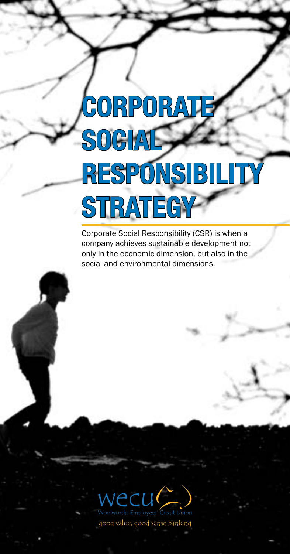# **Corporate Social RESPONSIBIL Strategy**

Corporate Social Responsibility (CSR) is when a company achieves sustainable development not only in the economic dimension, but also in the social and environmental dimensions.

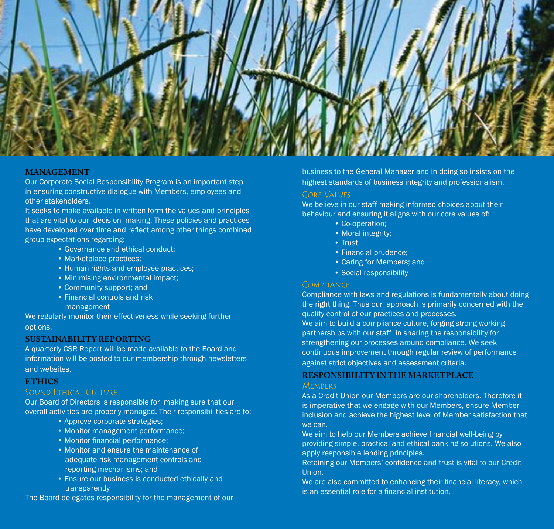

## **Management**

Our Corporate Social Responsibility Program is an important step in ensuring constructive dialogue with Members, employees and other stakeholders.

It seeks to make available in written form the values and principles that are vital to our decision making. These policies and practices have developed over time and reflect among other things combined group expectations regarding:

- Governance and ethical conduct;
- Marketplace practices;
- Human rights and employee practices;
- Minimising environmental impact;
- Community support; and
- Financial controls and risk
	- management

We regularly monitor their effectiveness while seeking further options.

## **SUSTAINABILITY REPORTING**

A quarterly CSR Report will be made available to the Board and information will be posted to our membership through newsletters and websites.

## **ETHICS**

#### Sound Ethical Culture

Our Board of Directors is responsible for making sure that our overall activities are properly managed. Their responsibilities are to:

- Approve corporate strategies;
- Monitor management performance;
- Monitor financial performance:
- Monitor and ensure the maintenance of adequate risk management controls and reporting mechanisms; and
- Ensure our business is conducted ethically and transparently

The Board delegates responsibility for the management of our

business to the General Manager and in doing so insists on the highest standards of business integrity and professionalism.

#### CORE VALUES

We believe in our staff making informed choices about their behaviour and ensuring it aligns with our core values of:

- Co-operation;
- Moral integrity;
- Trust
- Financial prudence;
- Caring for Members; and
- Social responsibility

#### **COMPLIANCE**

Compliance with laws and regulations is fundamentally about doing the right thing. Thus our approach is primarily concerned with the quality control of our practices and processes.

We aim to build a compliance culture, forging strong working partnerships with our staff in sharing the responsibility for strengthening our processes around compliance. We seek continuous improvement through regular review of performance against strict objectives and assessment criteria.

## **Responsibility in the Marketplace**

#### **MEMBERS**

As a Credit Union our Members are our shareholders. Therefore it is imperative that we engage with our Members, ensure Member inclusion and achieve the highest level of Member satisfaction that we can.

We aim to help our Members achieve financial well-being by providing simple, practical and ethical banking solutions. We also apply responsible lending principles.

Retaining our Members' confidence and trust is vital to our Credit Union.

We are also committed to enhancing their financial literacy, which is an essential role for a financial institution.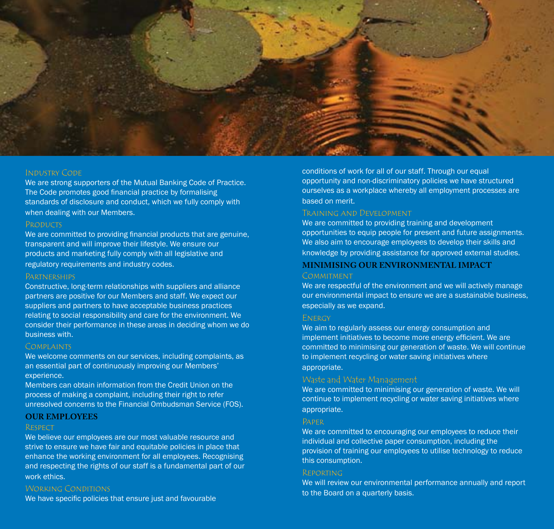

#### Industry Code

We are strong supporters of the Mutual Banking Code of Practice. The Code promotes good financial practice by formalising standards of disclosure and conduct, which we fully comply with when dealing with our Members.

#### **PRODUCTS**

We are committed to providing financial products that are genuine, transparent and will improve their lifestyle. We ensure our products and marketing fully comply with all legislative and regulatory requirements and industry codes.

#### **PARTNERSHIPS**

Constructive, long-term relationships with suppliers and alliance partners are positive for our Members and staff. We expect our suppliers and partners to have acceptable business practices relating to social responsibility and care for the environment. We consider their performance in these areas in deciding whom we do business with.

#### **COMPLAINTS**

We welcome comments on our services, including complaints, as an essential part of continuously improving our Members' experience.

Members can obtain information from the Credit Union on the process of making a complaint, including their right to refer unresolved concerns to the Financial Ombudsman Service (FOS).

## **OUR EMPLOYEES**

### **RESPECT**

We believe our employees are our most valuable resource and strive to ensure we have fair and equitable policies in place that enhance the working environment for all employees. Recognising and respecting the rights of our staff is a fundamental part of our work ethics.

#### WORKING CONDITIONS

We have specific policies that ensure just and favourable

conditions of work for all of our staff. Through our equal opportunity and non-discriminatory policies we have structured ourselves as a workplace whereby all employment processes are based on merit.

## Training and Development

We are committed to providing training and development opportunities to equip people for present and future assignments. We also aim to encourage employees to develop their skills and knowledge by providing assistance for approved external studies.

## **Minimising our Environmental Impact**

#### **COMMITMENT**

We are respectful of the environment and we will actively manage our environmental impact to ensure we are a sustainable business, especially as we expand.

#### **ENERGY**

We aim to regularly assess our energy consumption and implement initiatives to become more energy efficient. We are committed to minimising our generation of waste. We will continue to implement recycling or water saving initiatives where appropriate.

## Waste and Water Management

We are committed to minimising our generation of waste. We will continue to implement recycling or water saving initiatives where appropriate.

## Paper

We are committed to encouraging our employees to reduce their individual and collective paper consumption, including the provision of training our employees to utilise technology to reduce this consumption.

#### Reporting

We will review our environmental performance annually and report to the Board on a quarterly basis.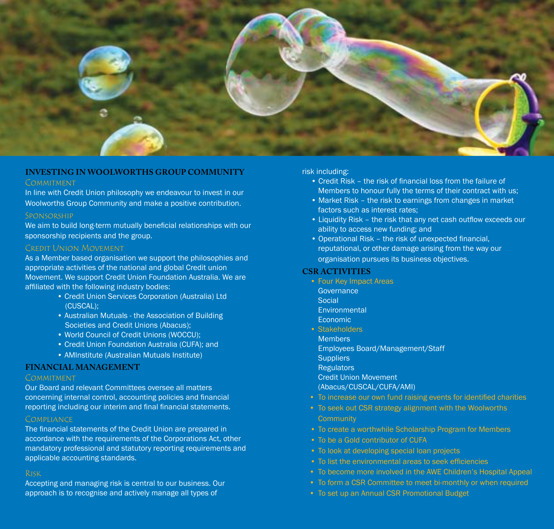

## **INVESTING IN WOOLWORTHS GROUP COMMUNITY**

#### **COMMITMENT**

In line with Credit Union philosophy we endeavour to invest in our Woolworths Group Community and make a positive contribution.

#### Sponsorship

We aim to build long-term mutually beneficial relationships with our sponsorship recipients and the group.

## Credit Union Movement

As a Member based organisation we support the philosophies and appropriate activities of the national and global Credit union Movement. We support Credit Union Foundation Australia. We are affiliated with the following industry bodies:

- Credit Union Services Corporation (Australia) Ltd (CUSCAL);
- Australian Mutuals the Association of Building Societies and Credit Unions (Abacus);
- World Council of Credit Unions (WOCCU);
- Credit Union Foundation Australia (CUFA); and
- AMInstitute (Australian Mutuals Institute)

## **FINANCIAL MANAGEMENT**

#### **COMMITMENT**

Our Board and relevant Committees oversee all matters concerning internal control, accounting policies and financial reporting including our interim and final financial statements.

## **COMPLIANCE**

The financial statements of the Credit Union are prepared in accordance with the requirements of the Corporations Act, other mandatory professional and statutory reporting requirements and applicable accounting standards.

## Risk

Accepting and managing risk is central to our business. Our approach is to recognise and actively manage all types of

#### risk including:

- Credit Risk the risk of financial loss from the failure of Members to honour fully the terms of their contract with us;
- Market Risk the risk to earnings from changes in market factors such as interest rates;
- Liquidity Risk the risk that any net cash outflow exceeds our ability to access new funding; and
- Operational Risk the risk of unexpected financial, reputational, or other damage arising from the way our organisation pursues its business objectives.

#### **CSR ACTIVITIES**

- Four Key Impact Areas
	- **Governance**
	- Social
	- Environmental
	- Economic
- Stakeholders
- **Members**
- Employees Board/Management/Staff
- **Suppliers**
- **Regulators**
- Credit Union Movement
- (Abacus/CUSCAL/CUFA/AMI)
- To increase our own fund raising events for identified charities
- To seek out CSR strategy alignment with the Woolworths **Community**
- To create a worthwhile Scholarship Program for Members
- To be a Gold contributor of CUFA
- To look at developing special loan projects
- To list the environmental areas to seek efficiencies
- To become more involved in the AWE Children's Hospital Appeal
- To form a CSR Committee to meet bi-monthly or when required
- To set up an Annual CSR Promotional Budget